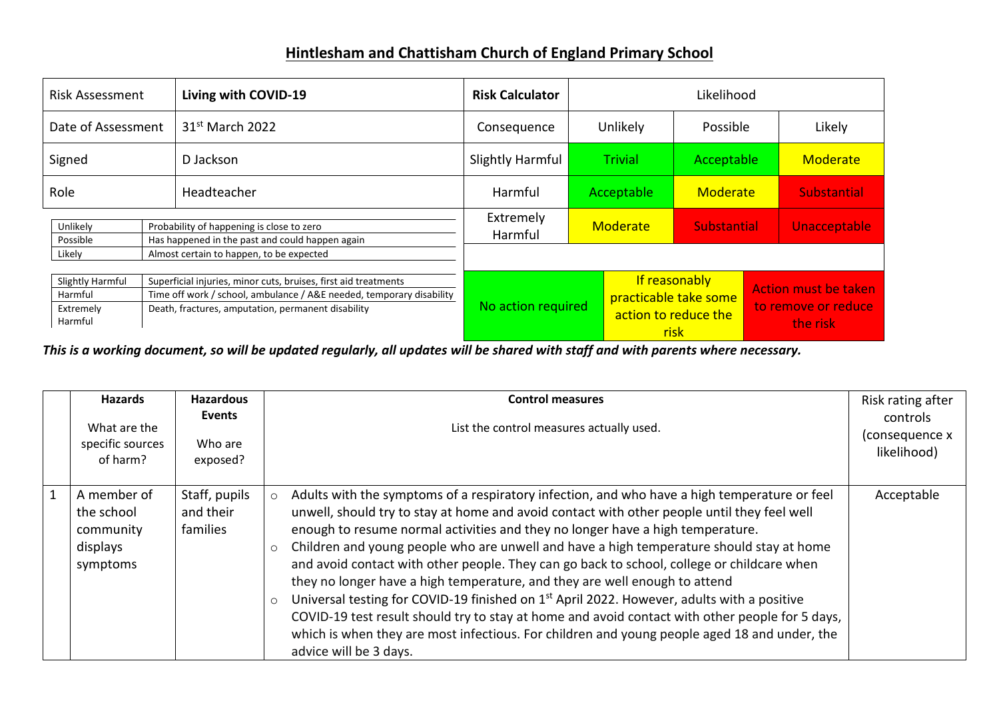## **Hintlesham and Chattisham Church of England Primary School**

| <b>Risk Assessment</b>                              |  | Living with COVID-19                                                                                                                                                                          | <b>Risk Calculator</b> | Likelihood                                                             |                                |                                                         |  |                    |
|-----------------------------------------------------|--|-----------------------------------------------------------------------------------------------------------------------------------------------------------------------------------------------|------------------------|------------------------------------------------------------------------|--------------------------------|---------------------------------------------------------|--|--------------------|
| Date of Assessment                                  |  | 31 <sup>st</sup> March 2022                                                                                                                                                                   | Consequence            | Unlikely                                                               |                                | Possible                                                |  | Likely             |
| Signed                                              |  | Slightly Harmful<br><b>Trivial</b><br>D Jackson                                                                                                                                               |                        | Acceptable                                                             |                                | Moderate                                                |  |                    |
| Role                                                |  | Headteacher                                                                                                                                                                                   | Harmful                |                                                                        | Acceptable                     | Moderate                                                |  | <b>Substantial</b> |
| Unlikely<br>Possible<br>Likely                      |  | Probability of happening is close to zero<br>Has happened in the past and could happen again<br>Almost certain to happen, to be expected                                                      | Extremely<br>Harmful   |                                                                        | Moderate<br><b>Substantial</b> |                                                         |  | Unacceptable       |
| Slightly Harmful<br>Harmful<br>Extremely<br>Harmful |  | Superficial injuries, minor cuts, bruises, first aid treatments<br>Time off work / school, ambulance / A&E needed, temporary disability<br>Death, fractures, amputation, permanent disability | No action required     | If reasonably<br>practicable take some<br>action to reduce the<br>risk |                                | Action must be taken<br>to remove or reduce<br>the risk |  |                    |

*This is a working document, so will be updated regularly, all updates will be shared with staff and with parents where necessary.*

|                | <b>Hazards</b><br>What are the<br>specific sources<br>of harm? | Hazardous<br>Events<br>Who are<br>exposed? | <b>Control measures</b><br>List the control measures actually used.                                                                                                                                                                                                                                                                                                                                                                                                                                                                                                                                                                                                                                                                                                                                                                                                                                                           | Risk rating after<br>controls<br>(consequence x<br>likelihood) |
|----------------|----------------------------------------------------------------|--------------------------------------------|-------------------------------------------------------------------------------------------------------------------------------------------------------------------------------------------------------------------------------------------------------------------------------------------------------------------------------------------------------------------------------------------------------------------------------------------------------------------------------------------------------------------------------------------------------------------------------------------------------------------------------------------------------------------------------------------------------------------------------------------------------------------------------------------------------------------------------------------------------------------------------------------------------------------------------|----------------------------------------------------------------|
| $\overline{1}$ | A member of<br>the school<br>community<br>displays<br>symptoms | Staff, pupils<br>and their<br>families     | Adults with the symptoms of a respiratory infection, and who have a high temperature or feel<br>$\circ$<br>unwell, should try to stay at home and avoid contact with other people until they feel well<br>enough to resume normal activities and they no longer have a high temperature.<br>Children and young people who are unwell and have a high temperature should stay at home<br>$\circ$<br>and avoid contact with other people. They can go back to school, college or childcare when<br>they no longer have a high temperature, and they are well enough to attend<br>Universal testing for COVID-19 finished on 1 <sup>st</sup> April 2022. However, adults with a positive<br>$\circ$<br>COVID-19 test result should try to stay at home and avoid contact with other people for 5 days,<br>which is when they are most infectious. For children and young people aged 18 and under, the<br>advice will be 3 days. | Acceptable                                                     |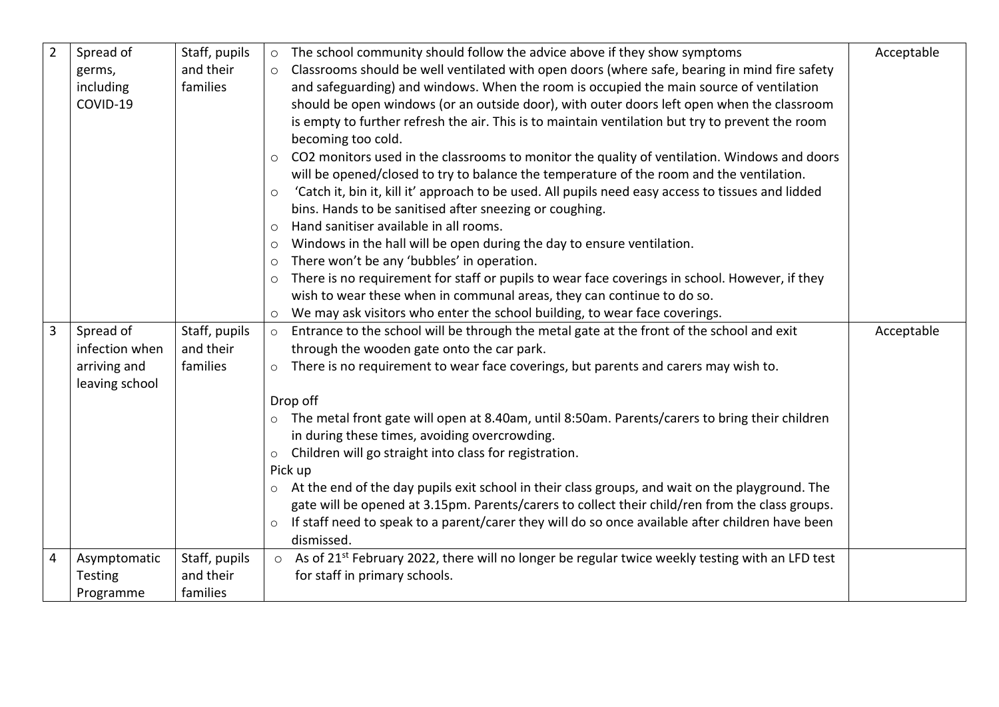| $\overline{2}$ | Spread of      | Staff, pupils |         | o The school community should follow the advice above if they show symptoms                                         | Acceptable |
|----------------|----------------|---------------|---------|---------------------------------------------------------------------------------------------------------------------|------------|
|                | germs,         | and their     | $\circ$ | Classrooms should be well ventilated with open doors (where safe, bearing in mind fire safety                       |            |
|                | including      | families      |         | and safeguarding) and windows. When the room is occupied the main source of ventilation                             |            |
|                | COVID-19       |               |         | should be open windows (or an outside door), with outer doors left open when the classroom                          |            |
|                |                |               |         | is empty to further refresh the air. This is to maintain ventilation but try to prevent the room                    |            |
|                |                |               |         | becoming too cold.                                                                                                  |            |
|                |                |               | $\circ$ | CO2 monitors used in the classrooms to monitor the quality of ventilation. Windows and doors                        |            |
|                |                |               |         | will be opened/closed to try to balance the temperature of the room and the ventilation.                            |            |
|                |                |               | $\circ$ | 'Catch it, bin it, kill it' approach to be used. All pupils need easy access to tissues and lidded                  |            |
|                |                |               |         | bins. Hands to be sanitised after sneezing or coughing.                                                             |            |
|                |                |               | $\circ$ | Hand sanitiser available in all rooms.                                                                              |            |
|                |                |               | $\circ$ | Windows in the hall will be open during the day to ensure ventilation.                                              |            |
|                |                |               | $\circ$ | There won't be any 'bubbles' in operation.                                                                          |            |
|                |                |               | $\circ$ | There is no requirement for staff or pupils to wear face coverings in school. However, if they                      |            |
|                |                |               |         | wish to wear these when in communal areas, they can continue to do so.                                              |            |
|                |                |               |         | We may ask visitors who enter the school building, to wear face coverings.                                          |            |
| 3              | Spread of      | Staff, pupils |         | o Entrance to the school will be through the metal gate at the front of the school and exit                         | Acceptable |
|                | infection when | and their     |         | through the wooden gate onto the car park.                                                                          |            |
|                | arriving and   | families      | $\circ$ | There is no requirement to wear face coverings, but parents and carers may wish to.                                 |            |
|                | leaving school |               |         |                                                                                                                     |            |
|                |                |               |         | Drop off                                                                                                            |            |
|                |                |               |         | o The metal front gate will open at 8.40am, until 8:50am. Parents/carers to bring their children                    |            |
|                |                |               |         | in during these times, avoiding overcrowding.                                                                       |            |
|                |                |               | $\circ$ | Children will go straight into class for registration.                                                              |            |
|                |                |               |         | Pick up                                                                                                             |            |
|                |                |               | $\circ$ | At the end of the day pupils exit school in their class groups, and wait on the playground. The                     |            |
|                |                |               |         | gate will be opened at 3.15pm. Parents/carers to collect their child/ren from the class groups.                     |            |
|                |                |               | $\circ$ | If staff need to speak to a parent/carer they will do so once available after children have been                    |            |
|                |                |               |         | dismissed.                                                                                                          |            |
| 4              | Asymptomatic   | Staff, pupils |         | $\circ$ As of 21 <sup>st</sup> February 2022, there will no longer be regular twice weekly testing with an LFD test |            |
|                | Testing        | and their     |         | for staff in primary schools.                                                                                       |            |
|                | Programme      | families      |         |                                                                                                                     |            |